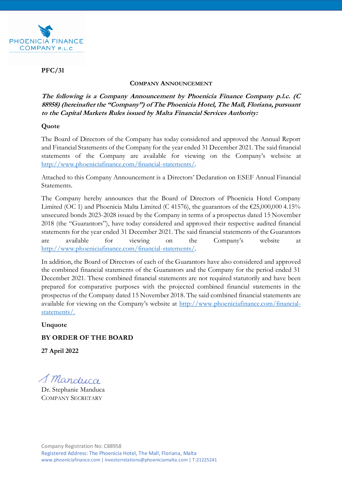

## **PFC/31**

#### **COMPANY ANNOUNCEMENT**

**The following is a Company Announcement by Phoenicia Finance Company p.l.c. (C 88958) (hereinafter the "Company") of The Phoenicia Hotel, The Mall, Floriana, pursuant to the Capital Markets Rules issued by Malta Financial Services Authority:** 

### **Quote**

The Board of Directors of the Company has today considered and approved the Annual Report and Financial Statements of the Company for the year ended 31 December 2021. The said financial statements of the Company are available for viewing on the Company's website at <http://www.phoeniciafinance.com/financial-statements/>.

Attached to this Company Announcement is a Directors' Declaration on ESEF Annual Financial Statements.

The Company hereby announces that the Board of Directors of Phoenicia Hotel Company Limited (OC 1) and Phoenicia Malta Limited (C 41576), the guarantors of the  $\text{\textsterling}25,000,000$  4.15% unsecured bonds 2023-2028 issued by the Company in terms of a prospectus dated 15 November 2018 (the "Guarantors"), have today considered and approved their respective audited financial statements for the year ended 31 December 2021. The said financial statements of the Guarantors are available for viewing on the Company's website at <http://www.phoeniciafinance.com/financial-statements/>.

In addition, the Board of Directors of each of the Guarantors have also considered and approved the combined financial statements of the Guarantors and the Company for the period ended 31 December 2021. These combined financial statements are not required statutorily and have been prepared for comparative purposes with the projected combined financial statements in the prospectus of the Company dated 15 November 2018. The said combined financial statements are available for viewing on the Company's website at [http://www.phoeniciafinance.com/financial](http://www.phoeniciafinance.com/financial-statements/)[statements/](http://www.phoeniciafinance.com/financial-statements/).

**Unquote**

### **BY ORDER OF THE BOARD**

**27 April 2022**

S. Manduca

Dr. Stephanie Manduca COMPANY SECRETARY